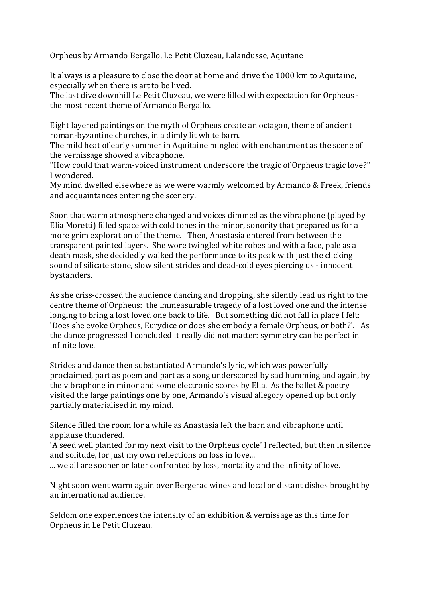Orpheus by Armando Bergallo, Le Petit Cluzeau, Lalandusse, Aquitane

It always is a pleasure to close the door at home and drive the 1000 km to Aquitaine, especially when there is art to be lived.

The last dive downhill Le Petit Cluzeau, we were filled with expectation for Orpheus the most recent theme of Armando Bergallo.

Eight layered paintings on the myth of Orpheus create an octagon, theme of ancient roman-byzantine churches, in a dimly lit white barn.

The mild heat of early summer in Aquitaine mingled with enchantment as the scene of the vernissage showed a vibraphone.

"How could that warm-voiced instrument underscore the tragic of Orpheus tragic love?" I wondered.

My mind dwelled elsewhere as we were warmly welcomed by Armando & Freek, friends and acquaintances entering the scenery.

Soon that warm atmosphere changed and voices dimmed as the vibraphone (played by Elia Moretti) filled space with cold tones in the minor, sonority that prepared us for a more grim exploration of the theme. Then, Anastasia entered from between the transparent painted layers. She wore twingled white robes and with a face, pale as a death mask, she decidedly walked the performance to its peak with just the clicking sound of silicate stone, slow silent strides and dead-cold eyes piercing us - innocent bystanders. 

As she criss-crossed the audience dancing and dropping, she silently lead us right to the centre theme of Orpheus: the immeasurable tragedy of a lost loved one and the intense longing to bring a lost loved one back to life. But something did not fall in place I felt: 'Does she evoke Orpheus, Eurydice or does she embody a female Orpheus, or both?'. As the dance progressed I concluded it really did not matter: symmetry can be perfect in infinite love.

Strides and dance then substantiated Armando's lyric, which was powerfully proclaimed, part as poem and part as a song underscored by sad humming and again, by the vibraphone in minor and some electronic scores by Elia. As the ballet  $&$  poetry visited the large paintings one by one, Armando's visual allegory opened up but only partially materialised in my mind.

Silence filled the room for a while as Anastasia left the barn and vibraphone until applause thundered.

'A seed well planted for my next visit to the Orpheus cycle' I reflected, but then in silence and solitude, for just my own reflections on loss in love...

... we all are sooner or later confronted by loss, mortality and the infinity of love.

Night soon went warm again over Bergerac wines and local or distant dishes brought by an international audience.

Seldom one experiences the intensity of an exhibition & vernissage as this time for Orpheus in Le Petit Cluzeau.